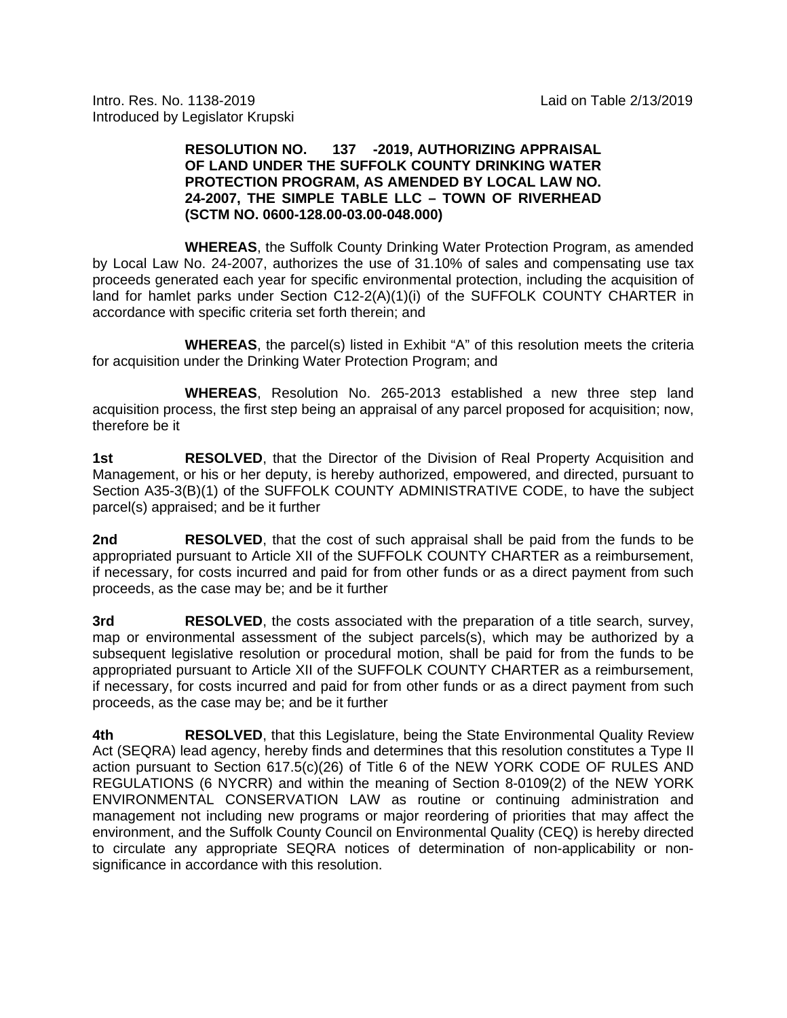Intro. Res. No. 1138-2019 Laid on Table 2/13/2019 Introduced by Legislator Krupski

#### **RESOLUTION NO. 137 -2019, AUTHORIZING APPRAISAL OF LAND UNDER THE SUFFOLK COUNTY DRINKING WATER PROTECTION PROGRAM, AS AMENDED BY LOCAL LAW NO. 24-2007, THE SIMPLE TABLE LLC – TOWN OF RIVERHEAD (SCTM NO. 0600-128.00-03.00-048.000)**

 **WHEREAS**, the Suffolk County Drinking Water Protection Program, as amended by Local Law No. 24-2007, authorizes the use of 31.10% of sales and compensating use tax proceeds generated each year for specific environmental protection, including the acquisition of land for hamlet parks under Section C12-2(A)(1)(i) of the SUFFOLK COUNTY CHARTER in accordance with specific criteria set forth therein; and

**WHEREAS**, the parcel(s) listed in Exhibit "A" of this resolution meets the criteria for acquisition under the Drinking Water Protection Program; and

 **WHEREAS**, Resolution No. 265-2013 established a new three step land acquisition process, the first step being an appraisal of any parcel proposed for acquisition; now, therefore be it

**1st <b>RESOLVED**, that the Director of the Division of Real Property Acquisition and Management, or his or her deputy, is hereby authorized, empowered, and directed, pursuant to Section A35-3(B)(1) of the SUFFOLK COUNTY ADMINISTRATIVE CODE, to have the subject parcel(s) appraised; and be it further

**2nd RESOLVED**, that the cost of such appraisal shall be paid from the funds to be appropriated pursuant to Article XII of the SUFFOLK COUNTY CHARTER as a reimbursement, if necessary, for costs incurred and paid for from other funds or as a direct payment from such proceeds, as the case may be; and be it further

**3rd RESOLVED**, the costs associated with the preparation of a title search, survey, map or environmental assessment of the subject parcels(s), which may be authorized by a subsequent legislative resolution or procedural motion, shall be paid for from the funds to be appropriated pursuant to Article XII of the SUFFOLK COUNTY CHARTER as a reimbursement, if necessary, for costs incurred and paid for from other funds or as a direct payment from such proceeds, as the case may be; and be it further

**4th RESOLVED**, that this Legislature, being the State Environmental Quality Review Act (SEQRA) lead agency, hereby finds and determines that this resolution constitutes a Type II action pursuant to Section 617.5(c)(26) of Title 6 of the NEW YORK CODE OF RULES AND REGULATIONS (6 NYCRR) and within the meaning of Section 8-0109(2) of the NEW YORK ENVIRONMENTAL CONSERVATION LAW as routine or continuing administration and management not including new programs or major reordering of priorities that may affect the environment, and the Suffolk County Council on Environmental Quality (CEQ) is hereby directed to circulate any appropriate SEQRA notices of determination of non-applicability or nonsignificance in accordance with this resolution.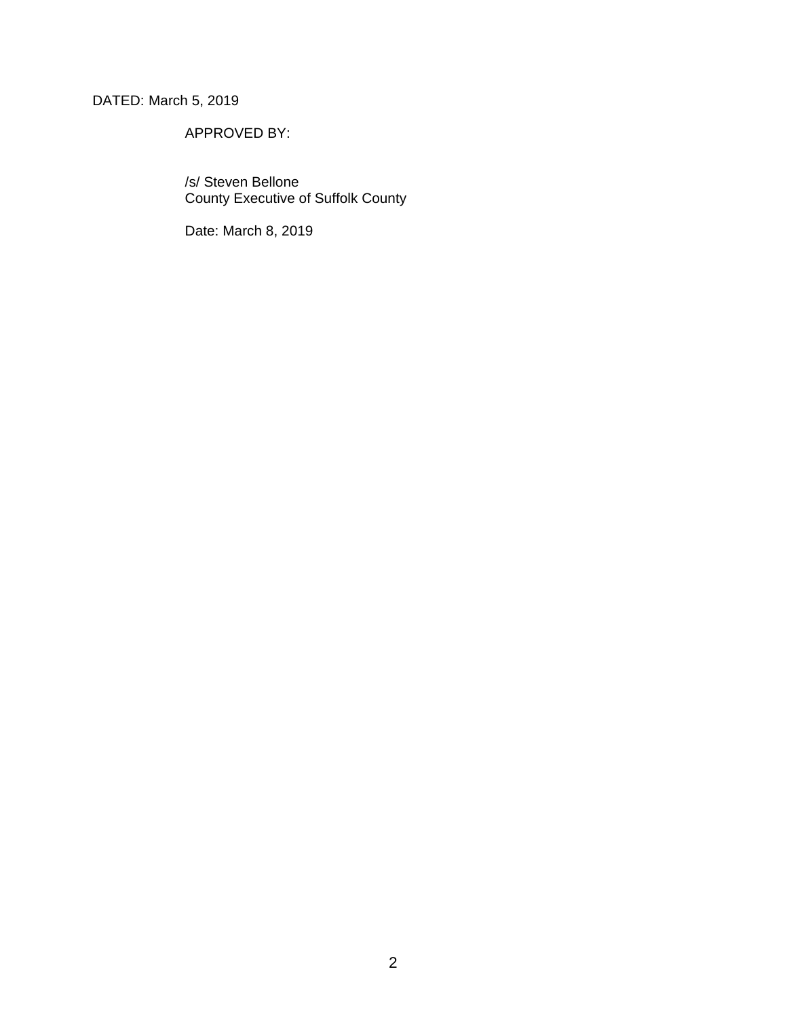## DATED: March 5, 2019

## APPROVED BY:

 /s/ Steven Bellone County Executive of Suffolk County

Date: March 8, 2019